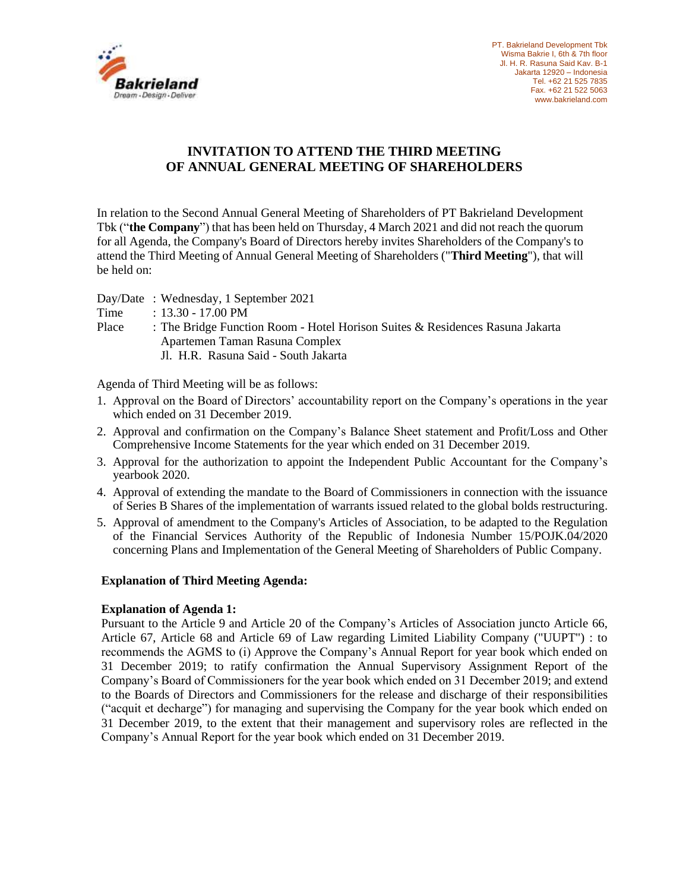

# **INVITATION TO ATTEND THE THIRD MEETING OF ANNUAL GENERAL MEETING OF SHAREHOLDERS**

In relation to the Second Annual General Meeting of Shareholders of PT Bakrieland Development Tbk ("**the Company**") that has been held on Thursday, 4 March 2021 and did not reach the quorum for all Agenda, the Company's Board of Directors hereby invites Shareholders of the Company's to attend the Third Meeting of Annual General Meeting of Shareholders ("**Third Meeting**"), that will be held on:

Day/Date : Wednesday, 1 September 2021

- Time : 13.30 17.00 PM
- Place : The Bridge Function Room Hotel Horison Suites & Residences Rasuna Jakarta Apartemen Taman Rasuna Complex Jl. H.R. Rasuna Said - South Jakarta

Agenda of Third Meeting will be as follows:

- 1. Approval on the Board of Directors' accountability report on the Company's operations in the year which ended on 31 December 2019.
- 2. Approval and confirmation on the Company's Balance Sheet statement and Profit/Loss and Other Comprehensive Income Statements for the year which ended on 31 December 2019.
- 3. Approval for the authorization to appoint the Independent Public Accountant for the Company's yearbook 2020.
- 4. Approval of extending the mandate to the Board of Commissioners in connection with the issuance of Series B Shares of the implementation of warrants issued related to the global bolds restructuring.
- 5. Approval of amendment to the Company's Articles of Association, to be adapted to the Regulation of the Financial Services Authority of the Republic of Indonesia Number 15/POJK.04/2020 concerning Plans and Implementation of the General Meeting of Shareholders of Public Company.

#### **Explanation of Third Meeting Agenda:**

#### **Explanation of Agenda 1:**

Pursuant to the Article 9 and Article 20 of the Company's Articles of Association juncto Article 66, Article 67, Article 68 and Article 69 of Law regarding Limited Liability Company ("UUPT") : to recommends the AGMS to (i) Approve the Company's Annual Report for year book which ended on 31 December 2019; to ratify confirmation the Annual Supervisory Assignment Report of the Company's Board of Commissioners for the year book which ended on 31 December 2019; and extend to the Boards of Directors and Commissioners for the release and discharge of their responsibilities ("acquit et decharge") for managing and supervising the Company for the year book which ended on 31 December 2019, to the extent that their management and supervisory roles are reflected in the Company's Annual Report for the year book which ended on 31 December 2019.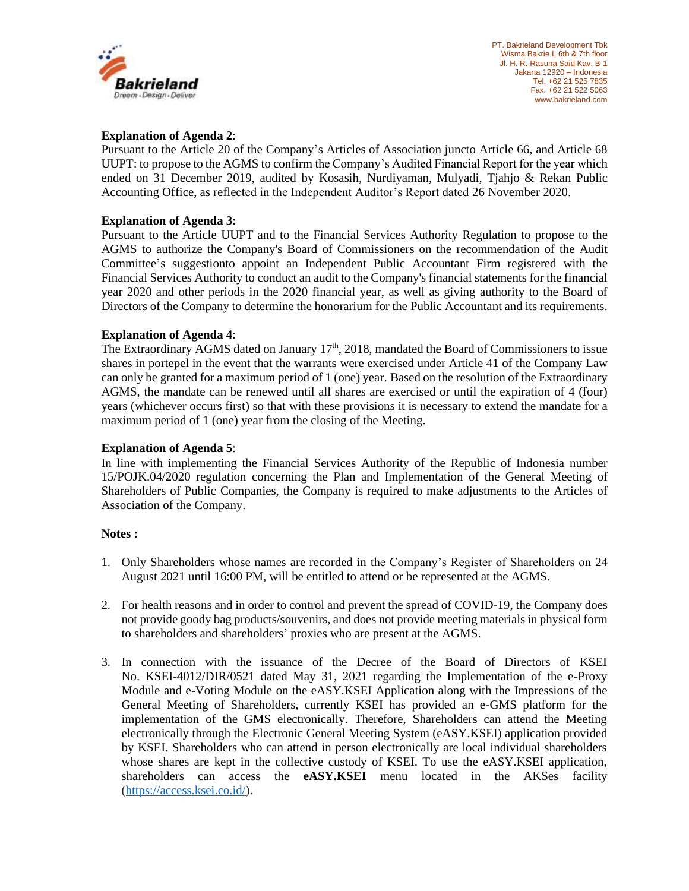

## **Explanation of Agenda 2**:

Pursuant to the Article 20 of the Company's Articles of Association juncto Article 66, and Article 68 UUPT: to propose to the AGMS to confirm the Company's Audited Financial Report for the year which ended on 31 December 2019, audited by Kosasih, Nurdiyaman, Mulyadi, Tjahjo & Rekan Public Accounting Office, as reflected in the Independent Auditor's Report dated 26 November 2020.

### **Explanation of Agenda 3:**

Pursuant to the Article UUPT and to the Financial Services Authority Regulation to propose to the AGMS to authorize the Company's Board of Commissioners on the recommendation of the Audit Committee's suggestionto appoint an Independent Public Accountant Firm registered with the Financial Services Authority to conduct an audit to the Company's financial statements for the financial year 2020 and other periods in the 2020 financial year, as well as giving authority to the Board of Directors of the Company to determine the honorarium for the Public Accountant and its requirements.

### **Explanation of Agenda 4**:

The Extraordinary AGMS dated on January 17<sup>th</sup>, 2018, mandated the Board of Commissioners to issue shares in portepel in the event that the warrants were exercised under Article 41 of the Company Law can only be granted for a maximum period of 1 (one) year. Based on the resolution of the Extraordinary AGMS, the mandate can be renewed until all shares are exercised or until the expiration of 4 (four) years (whichever occurs first) so that with these provisions it is necessary to extend the mandate for a maximum period of 1 (one) year from the closing of the Meeting.

#### **Explanation of Agenda 5**:

In line with implementing the Financial Services Authority of the Republic of Indonesia number 15/POJK.04/2020 regulation concerning the Plan and Implementation of the General Meeting of Shareholders of Public Companies, the Company is required to make adjustments to the Articles of Association of the Company.

#### **Notes :**

- 1. Only Shareholders whose names are recorded in the Company's Register of Shareholders on 24 August 2021 until 16:00 PM, will be entitled to attend or be represented at the AGMS.
- 2. For health reasons and in order to control and prevent the spread of COVID-19, the Company does not provide goody bag products/souvenirs, and does not provide meeting materials in physical form to shareholders and shareholders' proxies who are present at the AGMS.
- 3. In connection with the issuance of the Decree of the Board of Directors of KSEI No. KSEI-4012/DIR/0521 dated May 31, 2021 regarding the Implementation of the e-Proxy Module and e-Voting Module on the eASY.KSEI Application along with the Impressions of the General Meeting of Shareholders, currently KSEI has provided an e-GMS platform for the implementation of the GMS electronically. Therefore, Shareholders can attend the Meeting electronically through the Electronic General Meeting System (eASY.KSEI) application provided by KSEI. Shareholders who can attend in person electronically are local individual shareholders whose shares are kept in the collective custody of KSEI. To use the eASY.KSEI application, shareholders can access the **eASY.KSEI** menu located in the AKSes facility [\(https://access.ksei.co.id/\)](https://access.ksei.co.id/).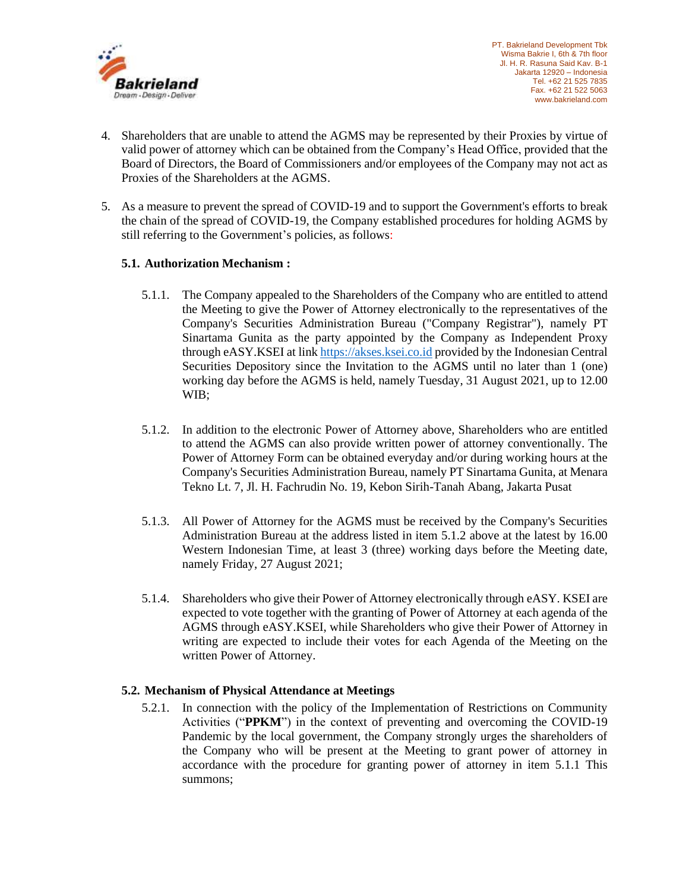

- 4. Shareholders that are unable to attend the AGMS may be represented by their Proxies by virtue of valid power of attorney which can be obtained from the Company's Head Office, provided that the Board of Directors, the Board of Commissioners and/or employees of the Company may not act as Proxies of the Shareholders at the AGMS.
- 5. As a measure to prevent the spread of COVID-19 and to support the Government's efforts to break the chain of the spread of COVID-19, the Company established procedures for holding AGMS by still referring to the Government's policies, as follows:

## **5.1. Authorization Mechanism :**

- 5.1.1. The Company appealed to the Shareholders of the Company who are entitled to attend the Meeting to give the Power of Attorney electronically to the representatives of the Company's Securities Administration Bureau ("Company Registrar"), namely PT Sinartama Gunita as the party appointed by the Company as Independent Proxy through eASY.KSEI at link [https://akses.ksei.co.id](https://akses.ksei.co.id/) provided by the Indonesian Central Securities Depository since the Invitation to the AGMS until no later than 1 (one) working day before the AGMS is held, namely Tuesday, 31 August 2021, up to 12.00 WIB;
- 5.1.2. In addition to the electronic Power of Attorney above, Shareholders who are entitled to attend the AGMS can also provide written power of attorney conventionally. The Power of Attorney Form can be obtained everyday and/or during working hours at the Company's Securities Administration Bureau, namely PT Sinartama Gunita, at Menara Tekno Lt. 7, Jl. H. Fachrudin No. 19, Kebon Sirih-Tanah Abang, Jakarta Pusat
- 5.1.3. All Power of Attorney for the AGMS must be received by the Company's Securities Administration Bureau at the address listed in item 5.1.2 above at the latest by 16.00 Western Indonesian Time, at least 3 (three) working days before the Meeting date, namely Friday, 27 August 2021;
- 5.1.4. Shareholders who give their Power of Attorney electronically through eASY. KSEI are expected to vote together with the granting of Power of Attorney at each agenda of the AGMS through eASY.KSEI, while Shareholders who give their Power of Attorney in writing are expected to include their votes for each Agenda of the Meeting on the written Power of Attorney.

# **5.2. Mechanism of Physical Attendance at Meetings**

5.2.1. In connection with the policy of the Implementation of Restrictions on Community Activities ("**PPKM**") in the context of preventing and overcoming the COVID-19 Pandemic by the local government, the Company strongly urges the shareholders of the Company who will be present at the Meeting to grant power of attorney in accordance with the procedure for granting power of attorney in item 5.1.1 This summons;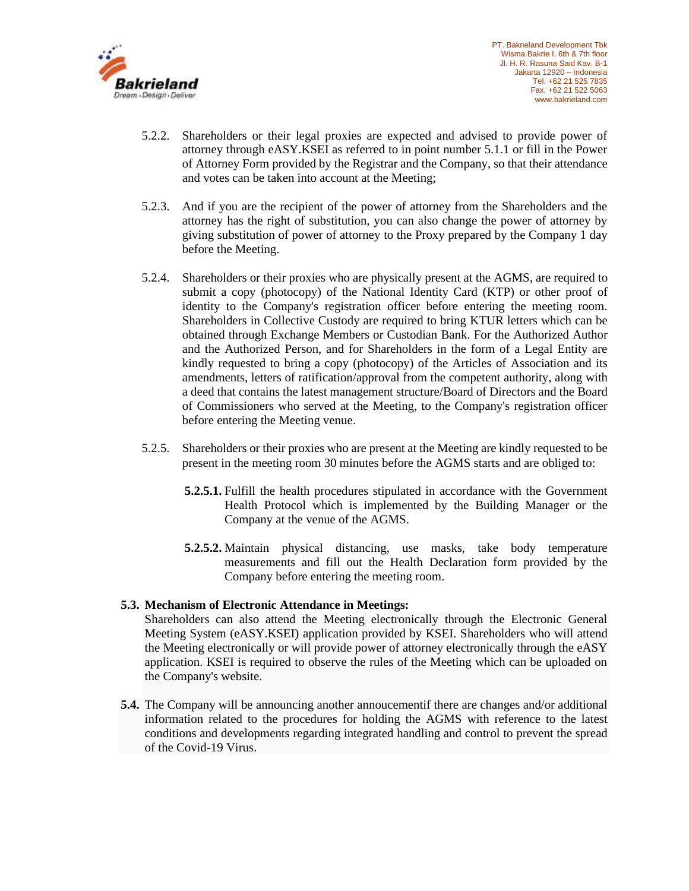

- 5.2.2. Shareholders or their legal proxies are expected and advised to provide power of attorney through eASY.KSEI as referred to in point number 5.1.1 or fill in the Power of Attorney Form provided by the Registrar and the Company, so that their attendance and votes can be taken into account at the Meeting;
- 5.2.3. And if you are the recipient of the power of attorney from the Shareholders and the attorney has the right of substitution, you can also change the power of attorney by giving substitution of power of attorney to the Proxy prepared by the Company 1 day before the Meeting.
- 5.2.4. Shareholders or their proxies who are physically present at the AGMS, are required to submit a copy (photocopy) of the National Identity Card (KTP) or other proof of identity to the Company's registration officer before entering the meeting room. Shareholders in Collective Custody are required to bring KTUR letters which can be obtained through Exchange Members or Custodian Bank. For the Authorized Author and the Authorized Person, and for Shareholders in the form of a Legal Entity are kindly requested to bring a copy (photocopy) of the Articles of Association and its amendments, letters of ratification/approval from the competent authority, along with a deed that contains the latest management structure/Board of Directors and the Board of Commissioners who served at the Meeting, to the Company's registration officer before entering the Meeting venue.
- 5.2.5. Shareholders or their proxies who are present at the Meeting are kindly requested to be present in the meeting room 30 minutes before the AGMS starts and are obliged to:
	- **5.2.5.1.** Fulfill the health procedures stipulated in accordance with the Government Health Protocol which is implemented by the Building Manager or the Company at the venue of the AGMS.
	- **5.2.5.2.** Maintain physical distancing, use masks, take body temperature measurements and fill out the Health Declaration form provided by the Company before entering the meeting room.

#### **5.3. Mechanism of Electronic Attendance in Meetings:**

Shareholders can also attend the Meeting electronically through the Electronic General Meeting System (eASY.KSEI) application provided by KSEI. Shareholders who will attend the Meeting electronically or will provide power of attorney electronically through the eASY application. KSEI is required to observe the rules of the Meeting which can be uploaded on the Company's website.

**5.4.** The Company will be announcing another annoucementif there are changes and/or additional information related to the procedures for holding the AGMS with reference to the latest conditions and developments regarding integrated handling and control to prevent the spread of the Covid-19 Virus.